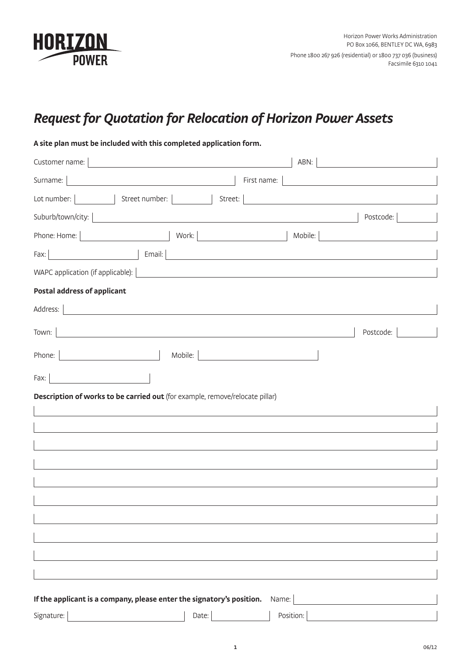

## *Request for Quotation for Relocation of Horizon Power Assets*

| A site plan must be included with this completed application form.           |                                                                                                                       |                                                                                                                      |                                                                                                                      |
|------------------------------------------------------------------------------|-----------------------------------------------------------------------------------------------------------------------|----------------------------------------------------------------------------------------------------------------------|----------------------------------------------------------------------------------------------------------------------|
| Customer name:                                                               | <u> 1980 - Andrea Andrew Maria (h. 1980).</u>                                                                         | ABN:                                                                                                                 |                                                                                                                      |
| Surname:                                                                     |                                                                                                                       | First name:                                                                                                          | <u> 1989 - Jan Stein Stein Stein Stein Stein Stein Stein Stein Stein Stein Stein Stein Stein Stein Stein Stein S</u> |
| Street number:  <br>Lot number: $\vert$                                      | Street:                                                                                                               | <u> 1980 - Jan Barbara Barbara, prima popular popular popular popular popular popular popular popular popular po</u> |                                                                                                                      |
| Suburb/town/city:                                                            |                                                                                                                       |                                                                                                                      | Postcode:                                                                                                            |
| Phone: Home:                                                                 | Work: <u>________________________________</u>                                                                         | Mobile:                                                                                                              |                                                                                                                      |
| Fax:                                                                         | Email:                                                                                                                |                                                                                                                      |                                                                                                                      |
| WAPC application (if applicable):                                            |                                                                                                                       |                                                                                                                      |                                                                                                                      |
| <b>Postal address of applicant</b>                                           |                                                                                                                       |                                                                                                                      |                                                                                                                      |
| Address:                                                                     |                                                                                                                       |                                                                                                                      |                                                                                                                      |
| Town:                                                                        | <u> 1989 - Johann Barbara, martxa alemaniar argumento estas estas estas estas estas estas estas estas estas estas</u> |                                                                                                                      | Postcode:                                                                                                            |
| Phone:                                                                       | Mobile:                                                                                                               |                                                                                                                      |                                                                                                                      |
| Fax:                                                                         |                                                                                                                       |                                                                                                                      |                                                                                                                      |
| Description of works to be carried out (for example, remove/relocate pillar) |                                                                                                                       |                                                                                                                      |                                                                                                                      |
|                                                                              |                                                                                                                       |                                                                                                                      |                                                                                                                      |
|                                                                              |                                                                                                                       |                                                                                                                      |                                                                                                                      |
|                                                                              |                                                                                                                       |                                                                                                                      |                                                                                                                      |
|                                                                              |                                                                                                                       |                                                                                                                      |                                                                                                                      |
|                                                                              |                                                                                                                       |                                                                                                                      |                                                                                                                      |
|                                                                              |                                                                                                                       |                                                                                                                      |                                                                                                                      |
|                                                                              |                                                                                                                       |                                                                                                                      |                                                                                                                      |
|                                                                              |                                                                                                                       |                                                                                                                      |                                                                                                                      |
|                                                                              |                                                                                                                       |                                                                                                                      |                                                                                                                      |
|                                                                              |                                                                                                                       |                                                                                                                      |                                                                                                                      |
| If the applicant is a company, please enter the signatory's position.        |                                                                                                                       | Name:                                                                                                                |                                                                                                                      |
| Signature:                                                                   | Date:                                                                                                                 | Position:                                                                                                            |                                                                                                                      |